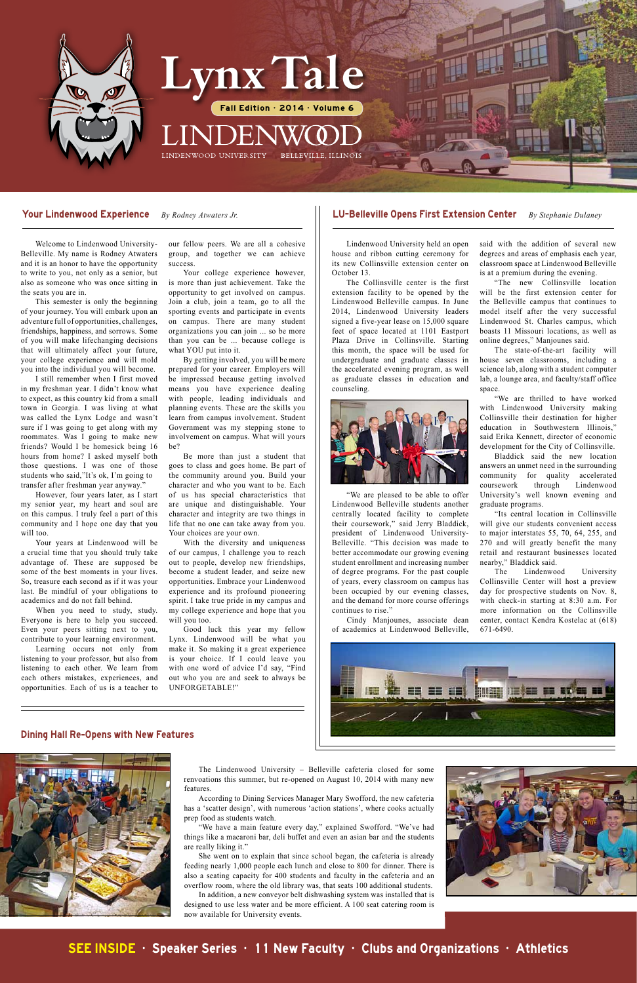#### Your Lindenwood Experience *By Rodney Atwaters Jr.* LU-Belleville Opens First Extension Center *By Stephanie Dulaney*

#### Dining Hall Re-Opens with New Features



 Welcome to Lindenwood University-Belleville. My name is Rodney Atwaters and it is an honor to have the opportunity to write to you, not only as a senior, but also as someone who was once sitting in the seats you are in.

 This semester is only the beginning of your journey. You will embark upon an adventure full of opportunities, challenges, friendships, happiness, and sorrows. Some of you will make lifechanging decisions that will ultimately affect your future, your college experience and will mold you into the individual you will become.

 I still remember when I first moved in my freshman year. I didn't know what to expect, as this country kid from a small town in Georgia. I was living at what was called the Lynx Lodge and wasn't sure if I was going to get along with my roommates. Was I going to make new friends? Would I be homesick being 16 hours from home? I asked myself both those questions. I was one of those students who said,"It's ok, I'm going to transfer after freshman year anyway."

 However, four years later, as I start my senior year, my heart and soul are on this campus. I truly feel a part of this community and I hope one day that you will too.

 Your years at Lindenwood will be a crucial time that you should truly take advantage of. These are supposed be some of the best moments in your lives. So, treasure each second as if it was your last. Be mindful of your obligations to academics and do not fall behind.

 When you need to study, study. Everyone is here to help you succeed. Even your peers sitting next to you, contribute to your learning environment.

 Learning occurs not only from listening to your professor, but also from listening to each other. We learn from each others mistakes, experiences, and opportunities. Each of us is a teacher to

 Lindenwood University held an open house and ribbon cutting ceremony for its new Collinsville extension center on October 13.

Your college experience however, is more than just achievement. Take the opportunity to get involved on campus. Join a club, join a team, go to all the sporting events and participate in events on campus. There are many student organizations you can join ... so be more than you can be ... because college is what YOU put into it.

 The Collinsville center is the first extension facility to be opened by the Lindenwood Belleville campus. In June 2014, Lindenwood University leaders signed a five-year lease on 15,000 square feet of space located at 1101 Eastport Plaza Drive in Collinsville. Starting this month, the space will be used for undergraduate and graduate classes in the accelerated evening program, as well as graduate classes in education and counseling.



 "We are pleased to be able to offer Lindenwood Belleville students another centrally located facility to complete their coursework," said Jerry Bladdick, president of Lindenwood University-Belleville. "This decision was made to better accommodate our growing evening student enrollment and increasing number of degree programs. For the past couple of years, every classroom on campus has been occupied by our evening classes, and the demand for more course offerings continues to rise."

 Cindy Manjounes, associate dean of academics at Lindenwood Belleville,

 The Lindenwood University – Belleville cafeteria closed for some renvoations this summer, but re-opened on August 10, 2014 with many new features.

 According to Dining Services Manager Mary Swofford, the new cafeteria has a 'scatter design', with numerous 'action stations', where cooks actually prep food as students watch.

 "We have a main feature every day," explained Swofford. "We've had things like a macaroni bar, deli buffet and even an asian bar and the students are really liking it."

 She went on to explain that since school began, the cafeteria is already feeding nearly 1,000 people each lunch and close to 800 for dinner. There is also a seating capacity for 400 students and faculty in the cafeteria and an overflow room, where the old library was, that seats 100 additional students. In addition, a new conveyor belt dishwashing system was installed that is

designed to use less water and be more efficient. A 100 seat catering room is now available for University events.



our fellow peers. We are all a cohesive group, and together we can achieve success.

 By getting involved, you will be more prepared for your career. Employers will be impressed because getting involved means you have experience dealing with people, leading individuals and planning events. These are the skills you learn from campus involvement. Student Government was my stepping stone to involvement on campus. What will yours be?

 Be more than just a student that goes to class and goes home. Be part of the community around you. Build your character and who you want to be. Each of us has special characteristics that are unique and distinguishable. Your character and integrity are two things in life that no one can take away from you. Your choices are your own.

 With the diversity and uniqueness of our campus, I challenge you to reach out to people, develop new friendships, become a student leader, and seize new opportunities. Embrace your Lindenwood experience and its profound pioneering spirit. I take true pride in my campus and my college experience and hope that you will you too.

 Good luck this year my fellow Lynx. Lindenwood will be what you make it. So making it a great experience is your choice. If I could leave you with one word of advice I'd say, "Find out who you are and seek to always be UNFORGETABLE!"

said with the addition of several new degrees and areas of emphasis each year, classroom space at Lindenwood Belleville is at a premium during the evening.

 "The new Collinsville location will be the first extension center for the Belleville campus that continues to model itself after the very successful Lindenwood St. Charles campus, which boasts 11 Missouri locations, as well as online degrees," Manjounes said.

 The state-of-the-art facility will house seven classrooms, including a science lab, along with a student computer lab, a lounge area, and faculty/staff office space.

 "We are thrilled to have worked with Lindenwood University making Collinsville their destination for higher education in Southwestern Illinois," said Erika Kennett, director of economic development for the City of Collinsville.

 Bladdick said the new location answers an unmet need in the surrounding community for quality accelerated coursework through Lindenwood University's well known evening and graduate programs.

 "Its central location in Collinsville will give our students convenient access to major interstates 55, 70, 64, 255, and 270 and will greatly benefit the many retail and restaurant businesses located nearby," Bladdick said.

 The Lindenwood University Collinsville Center will host a preview day for prospective students on Nov. 8, with check-in starting at 8:30 a.m. For more information on the Collinsville center, contact Kendra Kostelac at (618) 671-6490.



# SEE INSIDE • Speaker Series • 11 New Faculty • Clubs and Organizations • Athletics



# **Lynx Tale**

Fall Edition · 2014 · Volume 6

LINDENWOOD UNIVERSITY **BELLEVILLE, ILLINOIS**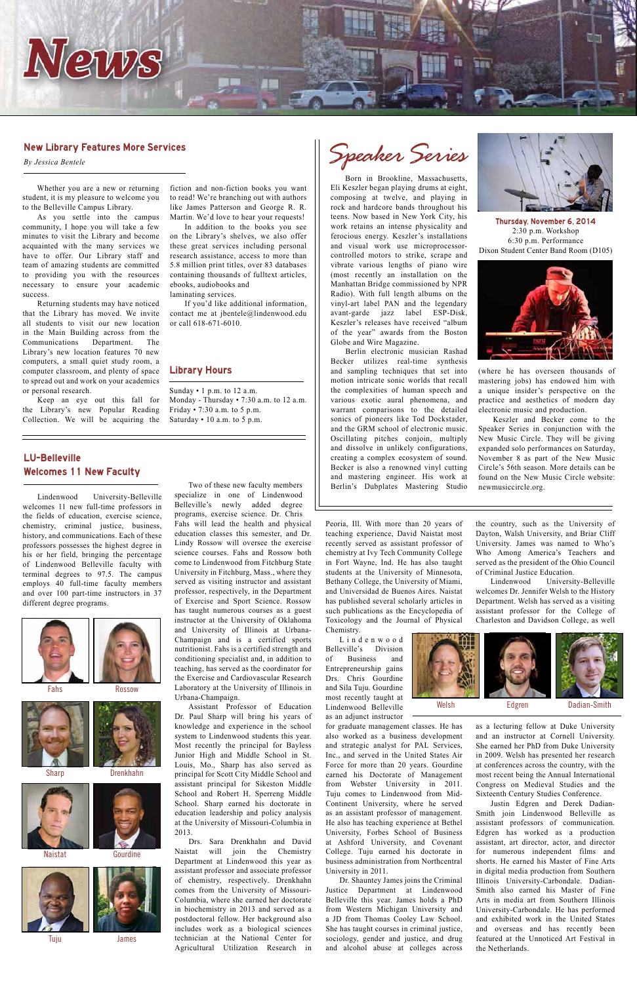#### Library Hours

Sunday  $\cdot$  1 p.m. to 12 a.m. Monday - Thursday • 7:30 a.m. to 12 a.m. Friday • 7:30 a.m. to 5 p.m. Saturday • 10 a.m. to 5 p.m.



#### New Library Features More Services

*By Jessica Bentele*

#### LU-Belleville Welcomes 11 New Faculty

 Whether you are a new or returning student, it is my pleasure to welcome you to the Belleville Campus Library.

 As you settle into the campus community, I hope you will take a few minutes to visit the Library and become acquainted with the many services we have to offer. Our Library staff and team of amazing students are committed to providing you with the resources necessary to ensure your academic success.

 Returning students may have noticed that the Library has moved. We invite all students to visit our new location in the Main Building across from the Communications Department. The Library's new location features 70 new computers, a small quiet study room, a computer classroom, and plenty of space to spread out and work on your academics or personal research.

 Keep an eye out this fall for the Library's new Popular Reading Collection. We will be acquiring the

 Lindenwood University-Belleville welcomes 11 new full-time professors in the fields of education, exercise science, chemistry, criminal justice, business, history, and communications. Each of these professors possesses the highest degree in his or her field, bringing the percentage of Lindenwood Belleville faculty with terminal degrees to 97.5. The campus employs 40 full-time faculty members and over 100 part-time instructors in 37 different degree programs.

 Born in Brookline, Massachusetts, Eli Keszler began playing drums at eight, composing at twelve, and playing in rock and hardcore bands throughout his teens. Now based in New York City, his work retains an intense physicality and ferocious energy. Keszler's installations and visual work use microprocessorcontrolled motors to strike, scrape and vibrate various lengths of piano wire (most recently an installation on the Manhattan Bridge commissioned by NPR Radio). With full length albums on the vinyl-art label PAN and the legendary avant-garde jazz label ESP-Disk, Keszler's releases have received "album of the year" awards from the Boston Globe and Wire Magazine.

 Berlin electronic musician Rashad Becker utilizes real-time synthesis and sampling techniques that set into motion intricate sonic worlds that recall the complexities of human speech and various exotic aural phenomena, and warrant comparisons to the detailed sonics of pioneers like Tod Dockstader, and the GRM school of electronic music. Oscillating pitches conjoin, multiply and dissolve in unlikely configurations, creating a complex ecosystem of sound. Becker is also a renowned vinyl cutting and mastering engineer. His work at Berlin's Dubplates Mastering Studio

fiction and non-fiction books you want to read! We're branching out with authors like James Patterson and George R. R. Martin. We'd love to hear your requests!

 In addition to the books you see on the Library's shelves, we also offer these great services including personal research assistance, access to more than 5.8 million print titles, over 83 databases containing thousands of fulltext articles, ebooks, audiobooks and

laminating services.

 If you'd like additional information, contact me at jbentele@lindenwood.edu or call 618-671-6010.

 Two of these new faculty members specialize in one of Lindenwood Belleville's newly added degree programs, exercise science. Dr. Chris Fahs will lead the health and physical education classes this semester, and Dr. Lindy Rossow will oversee the exercise science courses. Fahs and Rossow both come to Lindenwood from Fitchburg State University in Fitchburg, Mass., where they served as visiting instructor and assistant professor, respectively, in the Department of Exercise and Sport Science. Rossow has taught numerous courses as a guest instructor at the University of Oklahoma and University of Illinois at Urbana-Champaign and is a certified sports nutritionist. Fahs is a certified strength and conditioning specialist and, in addition to teaching, has served as the coordinator for the Exercise and Cardiovascular Research Laboratory at the University of Illinois in Urbana-Champaign.

**Sharp** 



Naistat



 Assistant Professor of Education Dr. Paul Sharp will bring his years of knowledge and experience in the school system to Lindenwood students this year. Most recently the principal for Bayless Junior High and Middle School in St. Louis, Mo., Sharp has also served as principal for Scott City Middle School and assistant principal for Sikeston Middle School and Robert H. Sperreng Middle School. Sharp earned his doctorate in education leadership and policy analysis at the University of Missouri-Columbia in 2013. Drs. Sara Drenkhahn and David Naistat will join the Chemistry Department at Lindenwood this year as assistant professor and associate professor of chemistry, respectively. Drenkhahn comes from the University of Missouri-Columbia, where she earned her doctorate in biochemistry in 2013 and served as a postdoctoral fellow. Her background also includes work as a biological sciences technician at the National Center for Agricultural Utilization Research in

Peoria, Ill. With more than 20 years of teaching experience, David Naistat most recently served as assistant professor of chemistry at Ivy Tech Community College in Fort Wayne, Ind. He has also taught students at the University of Minnesota, Bethany College, the University of Miami, and Universidad de Buenos Aires. Naistat has published several scholarly articles in such publications as the Encyclopedia of Toxicology and the Journal of Physical Chemistry.

 L i n d e n w o o d Belleville's Division of Business and Entrepreneurship gains Drs. Chris Gourdine and Sila Tuju. Gourdine most recently taught at Lindenwood Belleville as an adjunct instructor



for graduate management classes. He has also worked as a business development and strategic analyst for PAL Services, Inc., and served in the United States Air Force for more than 20 years. Gourdine earned his Doctorate of Management from Webster University in 2011. Tuju comes to Lindenwood from Mid-Continent University, where he served as an assistant professor of management. He also has teaching experience at Bethel University, Forbes School of Business at Ashford University, and Covenant College. Tuju earned his doctorate in business administration from Northcentral University in 2011.

 Dr. Shauntey James joins the Criminal Justice Department at Lindenwood Belleville this year. James holds a PhD from Western Michigan University and a JD from Thomas Cooley Law School. She has taught courses in criminal justice, sociology, gender and justice, and drug and alcohol abuse at colleges across the country, such as the University of Dayton, Walsh University, and Briar Cliff University. James was named to Who's Who Among America's Teachers and served as the president of the Ohio Council of Criminal Justice Education.

 Lindenwood University-Belleville welcomes Dr. Jennifer Welsh to the History Department. Welsh has served as a visiting assistant professor for the College of Charleston and Davidson College, as well



Welsh Edgren Dadian-Smith



as a lecturing fellow at Duke University and an instructor at Cornell University. She earned her PhD from Duke University in 2009. Welsh has presented her research at conferences across the country, with the most recent being the Annual International Congress on Medieval Studies and the Sixteenth Century Studies Conference.

 Justin Edgren and Derek Dadian-Smith join Lindenwood Belleville as assistant professors of communication. Edgren has worked as a production assistant, art director, actor, and director for numerous independent films and shorts. He earned his Master of Fine Arts in digital media production from Southern Illinois University-Carbondale. Dadian-Smith also earned his Master of Fine Arts in media art from Southern Illinois University-Carbondale. He has performed and exhibited work in the United States and overseas and has recently been featured at the Unnoticed Art Festival in the Netherlands.

(where he has overseen thousands of mastering jobs) has endowed him with a unique insider's perspective on the practice and aesthetics of modern day electronic music and production.

 Keszler and Becker come to the Speaker Series in conjunction with the New Music Circle. They will be giving expanded solo performances on Saturday, November 8 as part of the New Music Circle's 56th season. More details can be found on the New Music Circle website: newmusiccircle.org.

Thursday, November 6, 2014 2:30 p.m. Workshop 6:30 p.m. Performance Dixon Student Center Band Room (D105)



*Speaker Series*





Tuju



Drenkhahn

Gourdine

James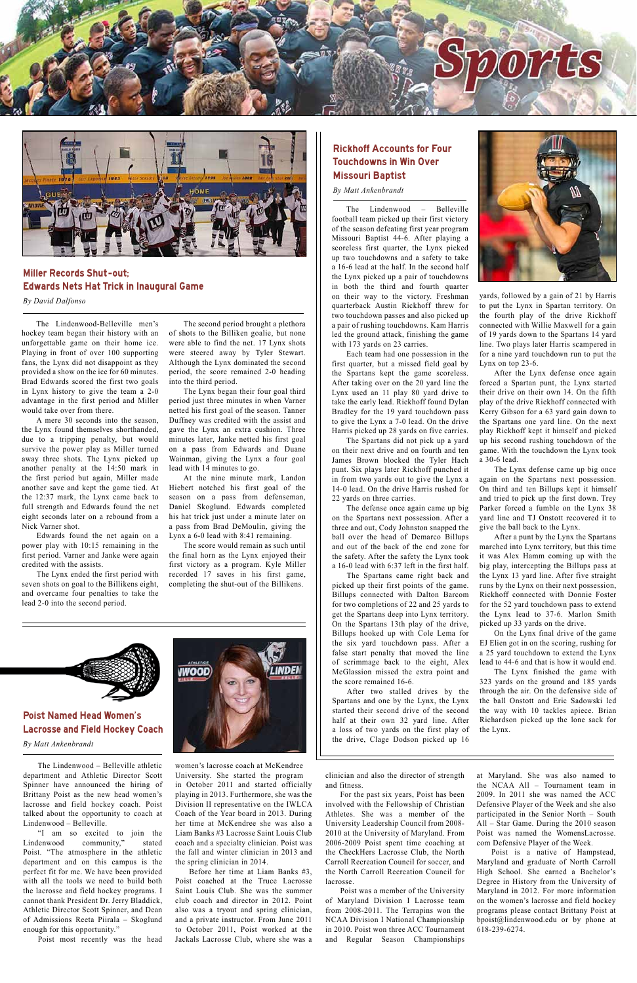Poist Named Head Women's



#### Lacrosse and Field Hockey Coach

*By Matt Ankenbrandt*

 The Lindenwood – Belleville athletic department and Athletic Director Scott Spinner have announced the hiring of Brittany Poist as the new head women's lacrosse and field hockey coach. Poist talked about the opportunity to coach at Lindenwood – Belleville.

 "I am so excited to join the Lindenwood community," stated Poist. "The atmosphere in the athletic department and on this campus is the perfect fit for me. We have been provided with all the tools we need to build both the lacrosse and field hockey programs. I cannot thank President Dr. Jerry Bladdick, Athletic Director Scott Spinner, and Dean of Admissions Reeta Piirala – Skoglund enough for this opportunity."

 Poist most recently was the head

clinician and also the director of strength and fitness.

 For the past six years, Poist has been involved with the Fellowship of Christian Athletes. She was a member of the University Leadership Council from 2008- 2010 at the University of Maryland. From 2006-2009 Poist spent time coaching at the CheckHers Lacrosse Club, the North Carroll Recreation Council for soccer, and the North Carroll Recreation Council for lacrosse.

 Poist was a member of the University of Maryland Division I Lacrosse team from 2008-2011. The Terrapins won the NCAA Division I National Championship in 2010. Poist won three ACC Tournament and Regular Season Championships

women's lacrosse coach at McKendree University. She started the program in October 2011 and started officially playing in 2013. Furthermore, she was the Division II representative on the IWLCA Coach of the Year board in 2013. During her time at McKendree she was also a Liam Banks #3 Lacrosse Saint Louis Club coach and a specialty clinician. Poist was the fall and winter clinician in 2013 and the spring clinician in 2014.

 Before her time at Liam Banks #3, Poist coached at the Truce Lacrosse Saint Louis Club. She was the summer club coach and director in 2012. Point also was a tryout and spring clinician, and a private instructor. From June 2011 to October 2011, Poist worked at the Jackals Lacrosse Club, where she was a

at Maryland. She was also named to the NCAA All – Tournament team in 2009. In 2011 she was named the ACC Defensive Player of the Week and she also participated in the Senior North – South

All – Star Game. During the 2010 season Poist was named the WomensLacrosse. com Defensive Player of the Week.

 Poist is a native of Hampstead, Maryland and graduate of North Carroll High School. She earned a Bachelor's Degree in History from the University of Maryland in 2012. For more information on the women's lacrosse and field hockey programs please contact Brittany Poist at bpoist@lindenwood.edu or by phone at 618-239-6274.





## Miller Records Shut -out; Edwards Nets Hat Trick in Inaugural Game

*By David Dalfonso*

 The Lindenwood-Belleville men's hockey team began their history with an unforgettable game on their home ice. Playing in front of over 100 supporting fans, the Lynx did not disappoint as they provided a show on the ice for 60 minutes. Brad Edwards scored the first two goals in Lynx history to give the team a 2-0 advantage in the first period and Miller would take over from there.

 A mere 30 seconds into the season, the Lynx found themselves shorthanded, due to a tripping penalty, but would survive the power play as Miller turned away three shots. The Lynx picked up another penalty at the 14:50 mark in the first period but again, Miller made another save and kept the game tied. At the 12:37 mark, the Lynx came back to full strength and Edwards found the net eight seconds later on a rebound from a Nick Varner shot.

 Edwards found the net again on a power play with 10:15 remaining in the first period. Varner and Janke were again credited with the assists.

 The Lynx ended the first period with seven shots on goal to the Billikens eight, and overcame four penalties to take the lead 2-0 into the second period.

 The second period brought a plethora of shots to the Billiken goalie, but none were able to find the net. 17 Lynx shots were steered away by Tyler Stewart. Although the Lynx dominated the second period, the score remained 2-0 heading into the third period.

 The Lynx began their four goal third period just three minutes in when Varner netted his first goal of the season. Tanner Duffney was credited with the assist and gave the Lynx an extra cushion. Three minutes later, Janke netted his first goal on a pass from Edwards and Duane Wainman, giving the Lynx a four goal lead with 14 minutes to go.

 At the nine minute mark, Landon Hiebert notched his first goal of the season on a pass from defenseman, Daniel Skoglund. Edwards completed his hat trick just under a minute later on a pass from Brad DeMoulin, giving the Lynx a 6-0 lead with 8:41 remaining.

 The score would remain as such until the final horn as the Lynx enjoyed their first victory as a program. Kyle Miller recorded 17 saves in his first game, completing the shut-out of the Billikens.

## Rickhoff Accounts for Four Touchdowns in Win Over Missouri Baptist

*By Matt Ankenbrandt*

 The Lindenwood – Belleville football team picked up their first victory of the season defeating first year program Missouri Baptist 44-6. After playing a scoreless first quarter, the Lynx picked up two touchdowns and a safety to take a 16-6 lead at the half. In the second half the Lynx picked up a pair of touchdowns in both the third and fourth quarter on their way to the victory. Freshman quarterback Austin Rickhoff threw for two touchdown passes and also picked up a pair of rushing touchdowns. Kam Harris led the ground attack, finishing the game with 173 yards on 23 carries.

 Each team had one possession in the first quarter, but a missed field goal by the Spartans kept the game scoreless. After taking over on the 20 yard line the Lynx used an 11 play 80 yard drive to take the early lead. Rickhoff found Dylan Bradley for the 19 yard touchdown pass to give the Lynx a 7-0 lead. On the drive Harris picked up 28 yards on five carries.

 The Spartans did not pick up a yard on their next drive and on fourth and ten James Brown blocked the Tyler Hach punt. Six plays later Rickhoff punched it in from two yards out to give the Lynx a 14-0 lead. On the drive Harris rushed for 22 yards on three carries.

 The defense once again came up big on the Spartans next possession. After a three and out, Cody Johnston snapped the ball over the head of Demarco Billups and out of the back of the end zone for the safety. After the safety the Lynx took a 16-0 lead with 6:37 left in the first half.

 The Spartans came right back and picked up their first points of the game. Billups connected with Dalton Barcom for two completions of 22 and 25 yards to get the Spartans deep into Lynx territory. On the Spartans 13th play of the drive, Billups hooked up with Cole Lema for the six yard touchdown pass. After a false start penalty that moved the line of scrimmage back to the eight, Alex McGlassion missed the extra point and the score remained 16-6.

 After two stalled drives by the Spartans and one by the Lynx, the Lynx started their second drive of the second half at their own 32 yard line. After



yards, followed by a gain of 21 by Harris to put the Lynx in Spartan territory. On the fourth play of the drive Rickhoff connected with Willie Maxwell for a gain of 19 yards down to the Spartans 14 yard line. Two plays later Harris scampered in for a nine yard touchdown run to put the Lynx on top 23-6.

 After the Lynx defense once again forced a Spartan punt, the Lynx started their drive on their own 14. On the fifth play of the drive Rickhoff connected with Kerry Gibson for a 63 yard gain down to the Spartans one yard line. On the next play Rickhoff kept it himself and picked up his second rushing touchdown of the game. With the touchdown the Lynx took a 30-6 lead.

 The Lynx defense came up big once again on the Spartans next possession. On third and ten Billups kept it himself and tried to pick up the first down. Trey Parker forced a fumble on the Lynx 38 yard line and TJ Onstott recovered it to give the ball back to the Lynx.

a loss of two yards on the first play of the drive, Clage Dodson picked up 16 the Lynx.

 After a punt by the Lynx the Spartans marched into Lynx territory, but this time it was Alex Hamm coming up with the big play, intercepting the Billups pass at the Lynx 13 yard line. After five straight runs by the Lynx on their next possession, Rickhoff connected with Donnie Foster for the 52 yard touchdown pass to extend the Lynx lead to 37-6. Marlon Smith picked up 33 yards on the drive.

 On the Lynx final drive of the game EJ Elien got in on the scoring, rushing for a 25 yard touchdown to extend the Lynx lead to 44-6 and that is how it would end.

 The Lynx finished the game with 323 yards on the ground and 185 yards through the air. On the defensive side of the ball Onstott and Eric Sadowski led the way with 10 tackles apiece. Brian Richardson picked up the lone sack for